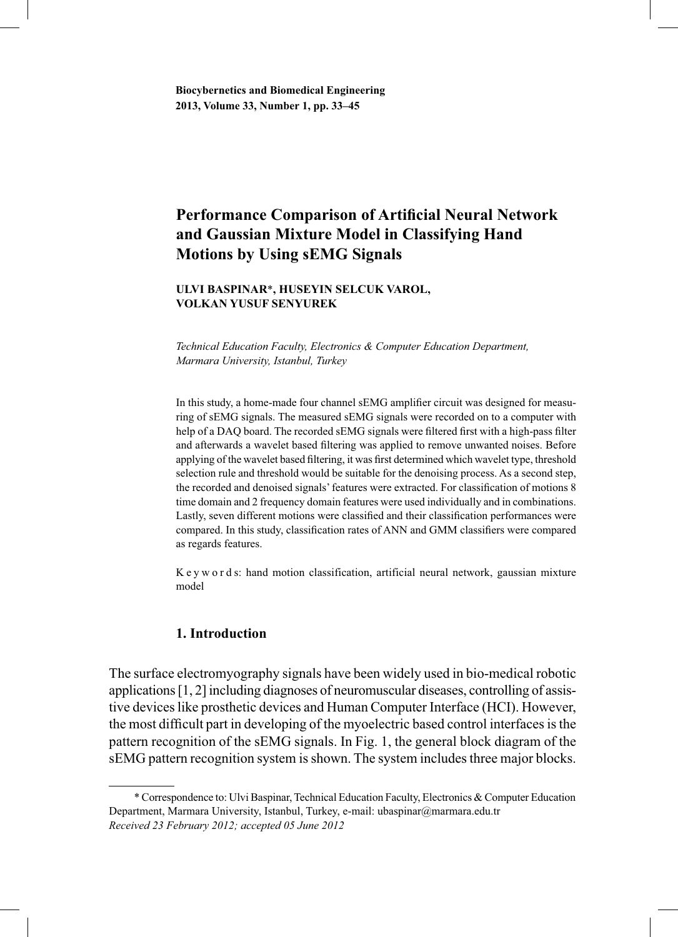# **Performance Comparison of Artificial Neural Network and Gaussian Mixture Model in Classifying Hand Motions by Using sEMG Signals**

## **ULVI BASPINAR**\***, HUSEYIN SELCUK VAROL, VOLKAN YUSUF SENYUREK**

*Technical Education Faculty, Electronics & Computer Education Department, Marmara University, Istanbul, Turkey*

In this study, a home-made four channel sEMG amplifier circuit was designed for measuring of sEMG signals. The measured sEMG signals were recorded on to a computer with help of a DAQ board. The recorded sEMG signals were filtered first with a high-pass filter and afterwards a wavelet based filtering was applied to remove unwanted noises. Before applying of the wavelet based filtering, it was first determined which wavelet type, threshold selection rule and threshold would be suitable for the denoising process. As a second step, the recorded and denoised signals' features were extracted. For classification of motions 8 time domain and 2 frequency domain features were used individually and in combinations. Lastly, seven different motions were classified and their classification performances were compared. In this study, classification rates of ANN and GMM classifiers were compared as regards features.

K e y w o r d s: hand motion classification, artificial neural network, gaussian mixture model

# **1. Introduction**

The surface electromyography signals have been widely used in bio-medical robotic applications [1, 2] including diagnoses of neuromuscular diseases, controlling of assistive devices like prosthetic devices and Human Computer Interface (HCI). However, the most difficult part in developing of the myoelectric based control interfaces is the pattern recognition of the sEMG signals. In Fig. 1, the general block diagram of the sEMG pattern recognition system is shown. The system includes three major blocks.

 <sup>\*</sup> Correspondence to: Ulvi Baspinar, Technical Education Faculty, Electronics & Computer Education Department, Marmara University, Istanbul, Turkey, e-mail: ubaspinar@marmara.edu.tr *Received 23 February 2012; accepted 05 June 2012*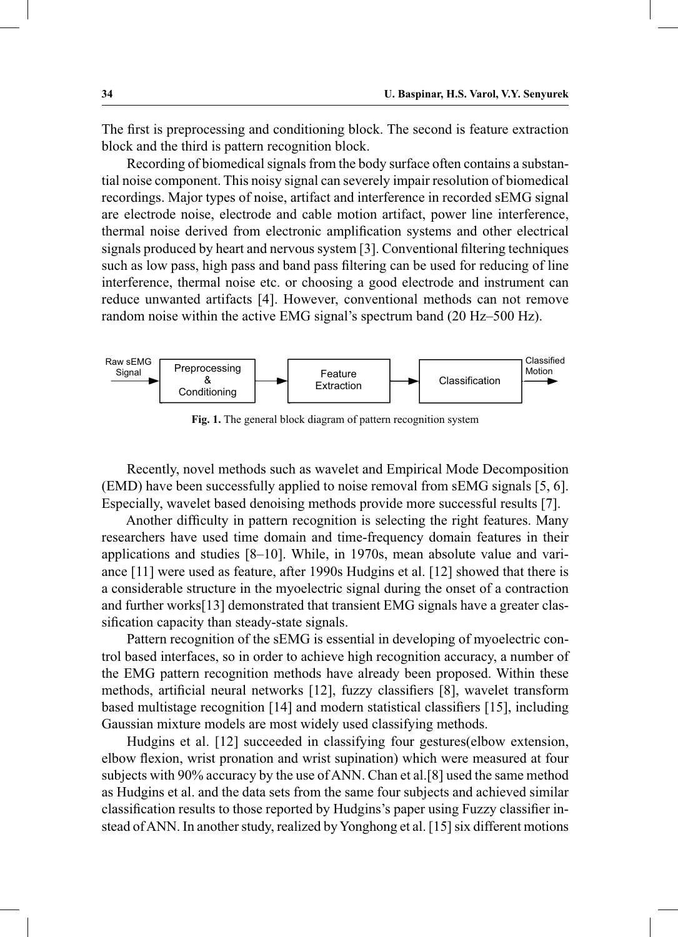The first is preprocessing and conditioning block. The second is feature extraction block and the third is pattern recognition block.

 Recording of biomedical signals from the body surface often contains a substantial noise component. This noisy signal can severely impair resolution of biomedical recordings. Major types of noise, artifact and interference in recorded sEMG signal are electrode noise, electrode and cable motion artifact, power line interference, thermal noise derived from electronic amplification systems and other electrical signals produced by heart and nervous system [3]. Conventional filtering techniques such as low pass, high pass and band pass filtering can be used for reducing of line interference, thermal noise etc. or choosing a good electrode and instrument can reduce unwanted artifacts [4]. However, conventional methods can not remove random noise within the active EMG signal's spectrum band (20 Hz–500 Hz).



**Fig. 1.** The general block diagram of pattern recognition system

 Recently, novel methods such as wavelet and Empirical Mode Decomposition (EMD) have been successfully applied to noise removal from sEMG signals [5, 6]. Especially, wavelet based denoising methods provide more successful results [7].

 Another difficulty in pattern recognition is selecting the right features. Many researchers have used time domain and time-frequency domain features in their applications and studies [8–10]. While, in 1970s, mean absolute value and variance [11] were used as feature, after 1990s Hudgins et al. [12] showed that there is a considerable structure in the myoelectric signal during the onset of a contraction and further works[13] demonstrated that transient EMG signals have a greater classification capacity than steady-state signals.

 Pattern recognition of the sEMG is essential in developing of myoelectric control based interfaces, so in order to achieve high recognition accuracy, a number of the EMG pattern recognition methods have already been proposed. Within these methods, artificial neural networks [12], fuzzy classifiers [8], wavelet transform based multistage recognition [14] and modern statistical classifiers [15], including Gaussian mixture models are most widely used classifying methods.

 Hudgins et al. [12] succeeded in classifying four gestures(elbow extension, elbow flexion, wrist pronation and wrist supination) which were measured at four subjects with 90% accuracy by the use of ANN. Chan et al.[8] used the same method as Hudgins et al. and the data sets from the same four subjects and achieved similar classification results to those reported by Hudgins's paper using Fuzzy classifier instead of ANN. In another study, realized by Yonghong et al. [15] six different motions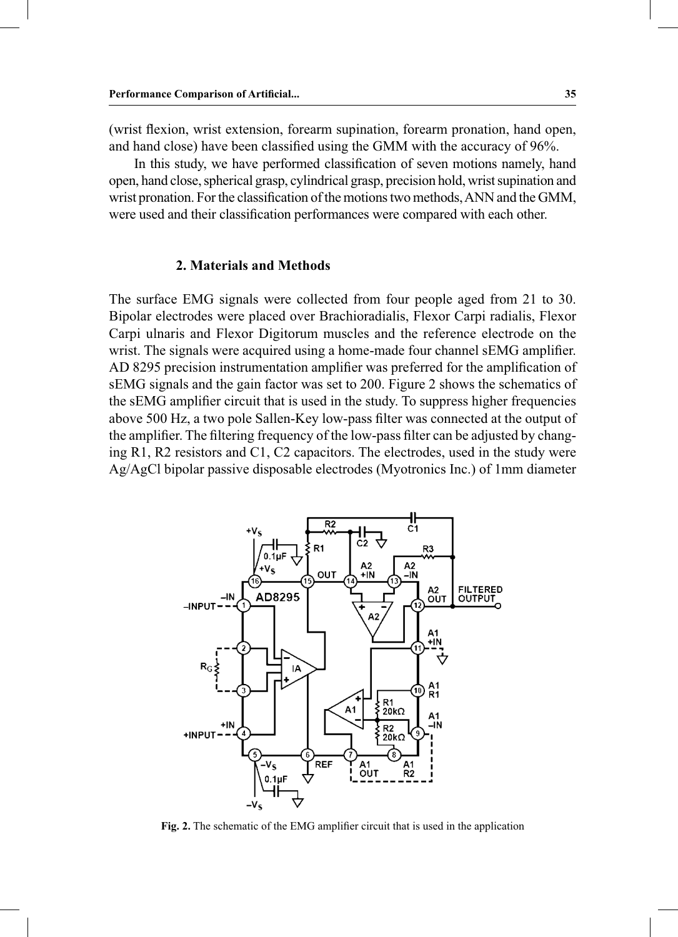(wrist flexion, wrist extension, forearm supination, forearm pronation, hand open, and hand close) have been classified using the GMM with the accuracy of 96%.

 In this study, we have performed classification of seven motions namely, hand open, hand close, spherical grasp, cylindrical grasp, precision hold, wrist supination and wrist pronation. For the classification of the motions two methods, ANN and the GMM, were used and their classification performances were compared with each other.

## **2. Materials and Methods**

The surface EMG signals were collected from four people aged from 21 to 30. Bipolar electrodes were placed over Brachioradialis, Flexor Carpi radialis, Flexor Carpi ulnaris and Flexor Digitorum muscles and the reference electrode on the wrist. The signals were acquired using a home-made four channel sEMG amplifier. AD 8295 precision instrumentation amplifier was preferred for the amplification of sEMG signals and the gain factor was set to 200. Figure 2 shows the schematics of the sEMG amplifier circuit that is used in the study. To suppress higher frequencies above 500 Hz, a two pole Sallen-Key low-pass filter was connected at the output of the amplifier. The filtering frequency of the low-pass filter can be adjusted by changing R1, R2 resistors and C1, C2 capacitors. The electrodes, used in the study were Ag/AgCl bipolar passive disposable electrodes (Myotronics Inc.) of 1mm diameter



**Fig. 2.** The schematic of the EMG amplifier circuit that is used in the application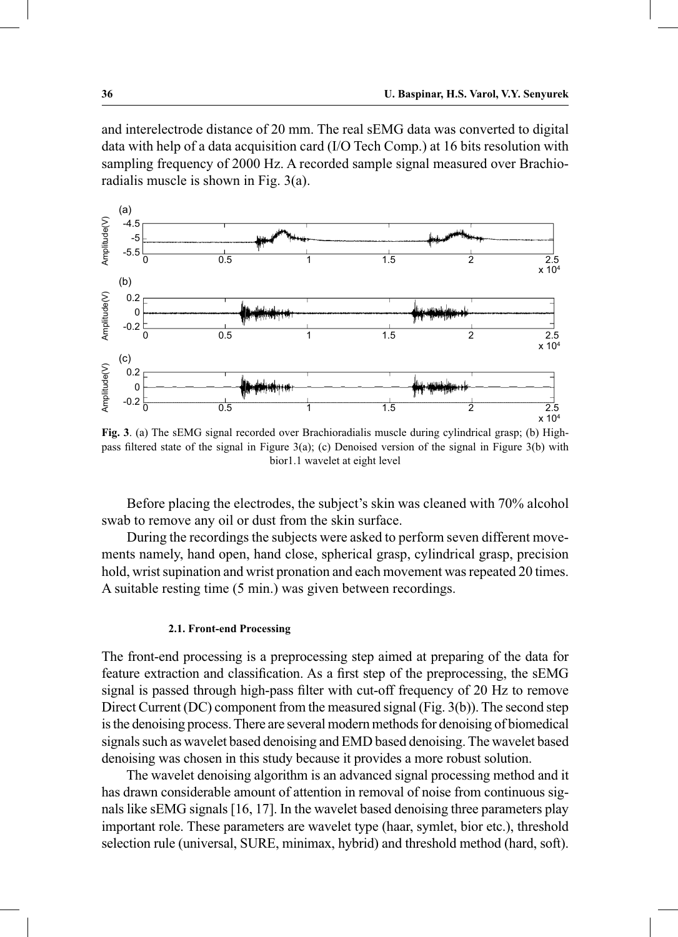and interelectrode distance of 20 mm. The real sEMG data was converted to digital data with help of a data acquisition card (I/O Tech Comp.) at 16 bits resolution with sampling frequency of 2000 Hz. A recorded sample signal measured over Brachioradialis muscle is shown in Fig. 3(a).



**Fig. 3**. (a) The sEMG signal recorded over Brachioradialis muscle during cylindrical grasp; (b) Highpass filtered state of the signal in Figure 3(a); (c) Denoised version of the signal in Figure 3(b) with bior1.1 wavelet at eight level

 Before placing the electrodes, the subject's skin was cleaned with 70% alcohol swab to remove any oil or dust from the skin surface.

 During the recordings the subjects were asked to perform seven different movements namely, hand open, hand close, spherical grasp, cylindrical grasp, precision hold, wrist supination and wrist pronation and each movement was repeated 20 times. A suitable resting time (5 min.) was given between recordings.

#### **2.1. Front-end Processing**

The front-end processing is a preprocessing step aimed at preparing of the data for feature extraction and classification. As a first step of the preprocessing, the sEMG signal is passed through high-pass filter with cut-off frequency of 20 Hz to remove Direct Current (DC) component from the measured signal (Fig. 3(b)). The second step is the denoising process. There are several modern methods for denoising of biomedical signals such as wavelet based denoising and EMD based denoising. The wavelet based denoising was chosen in this study because it provides a more robust solution.

 The wavelet denoising algorithm is an advanced signal processing method and it has drawn considerable amount of attention in removal of noise from continuous signals like sEMG signals [16, 17]. In the wavelet based denoising three parameters play important role. These parameters are wavelet type (haar, symlet, bior etc.), threshold selection rule (universal, SURE, minimax, hybrid) and threshold method (hard, soft).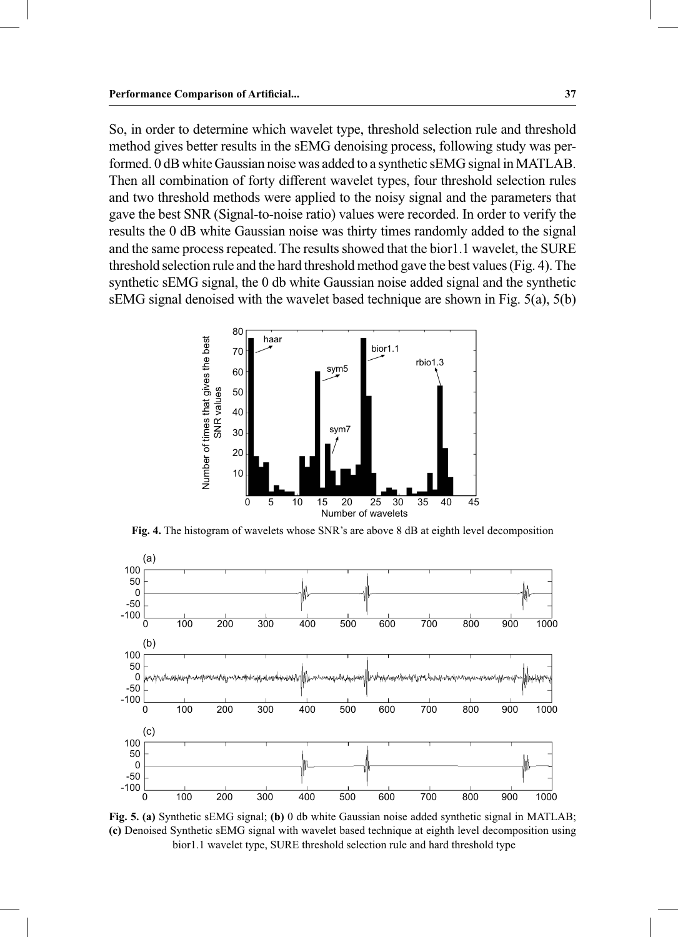So, in order to determine which wavelet type, threshold selection rule and threshold method gives better results in the sEMG denoising process, following study was performed. 0 dB white Gaussian noise was added to a synthetic sEMG signal in MATLAB. Then all combination of forty different wavelet types, four threshold selection rules and two threshold methods were applied to the noisy signal and the parameters that gave the best SNR (Signal-to-noise ratio) values were recorded. In order to verify the results the 0 dB white Gaussian noise was thirty times randomly added to the signal and the same process repeated. The results showed that the bior1.1 wavelet, the SURE threshold selection rule and the hard threshold method gave the best values (Fig. 4). The synthetic sEMG signal, the 0 db white Gaussian noise added signal and the synthetic sEMG signal denoised with the wavelet based technique are shown in Fig. 5(a), 5(b)



**Fig. 4.** The histogram of wavelets whose SNR's are above 8 dB at eighth level decomposition



**Fig. 5. (a)** Synthetic sEMG signal; **(b)** 0 db white Gaussian noise added synthetic signal in MATLAB; **(c)** Denoised Synthetic sEMG signal with wavelet based technique at eighth level decomposition using bior1.1 wavelet type, SURE threshold selection rule and hard threshold type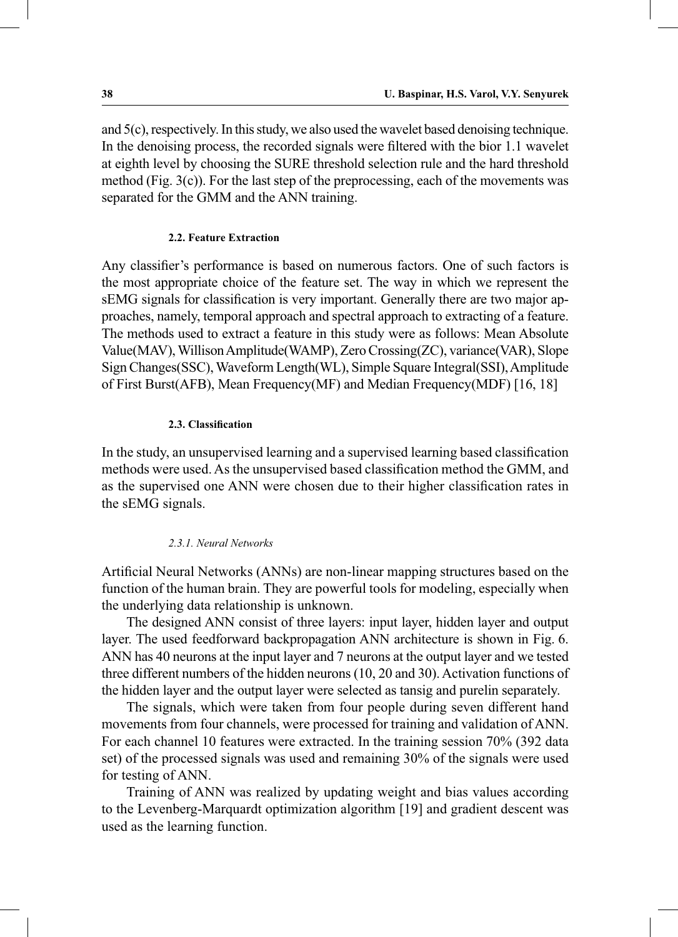and 5(c), respectively. In this study, we also used the wavelet based denoising technique. In the denoising process, the recorded signals were filtered with the bior 1.1 wavelet at eighth level by choosing the SURE threshold selection rule and the hard threshold method (Fig. 3(c)). For the last step of the preprocessing, each of the movements was separated for the GMM and the ANN training.

#### **2.2. Feature Extraction**

Any classifier's performance is based on numerous factors. One of such factors is the most appropriate choice of the feature set. The way in which we represent the sEMG signals for classification is very important. Generally there are two major approaches, namely, temporal approach and spectral approach to extracting of a feature. The methods used to extract a feature in this study were as follows: Mean Absolute Value(MAV), Willison Amplitude(WAMP), Zero Crossing(ZC), variance(VAR), Slope Sign Changes(SSC), Waveform Length(WL), Simple Square Integral(SSI), Amplitude of First Burst(AFB), Mean Frequency(MF) and Median Frequency(MDF) [16, 18]

#### **2.3. Classification**

In the study, an unsupervised learning and a supervised learning based classification methods were used. As the unsupervised based classification method the GMM, and as the supervised one ANN were chosen due to their higher classification rates in the sEMG signals.

#### *2.3.1. Neural Networks*

Artificial Neural Networks (ANNs) are non-linear mapping structures based on the function of the human brain. They are powerful tools for modeling, especially when the underlying data relationship is unknown.

 The designed ANN consist of three layers: input layer, hidden layer and output layer. The used feedforward backpropagation ANN architecture is shown in Fig. 6. ANN has 40 neurons at the input layer and 7 neurons at the output layer and we tested three different numbers of the hidden neurons (10, 20 and 30). Activation functions of the hidden layer and the output layer were selected as tansig and purelin separately.

 The signals, which were taken from four people during seven different hand movements from four channels, were processed for training and validation of ANN. For each channel 10 features were extracted. In the training session 70% (392 data set) of the processed signals was used and remaining 30% of the signals were used for testing of ANN.

 Training of ANN was realized by updating weight and bias values according to the Levenberg-Marquardt optimization algorithm [19] and gradient descent was used as the learning function.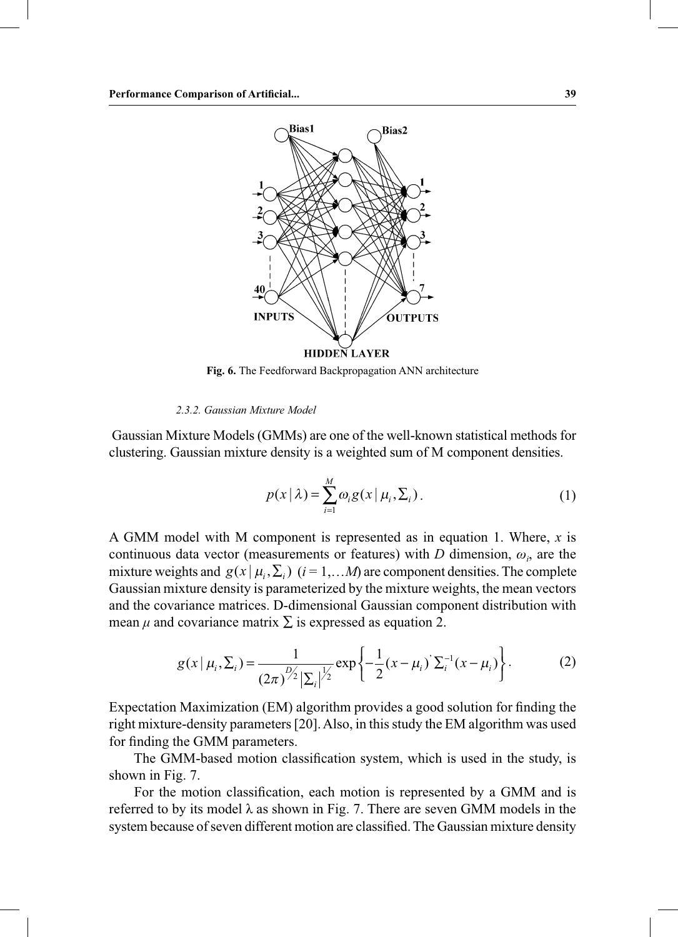

**Fig. 6.** The Feedforward Backpropagation ANN architecture

## *2.3.2. Gaussian Mixture Model*

 Gaussian Mixture Models (GMMs) are one of the well-known statistical methods for clustering. Gaussian mixture density is a weighted sum of M component densities.

$$
p(x | \lambda) = \sum_{i=1}^{M} \omega_i g(x | \mu_i, \Sigma_i).
$$
 (1)

A GMM model with M component is represented as in equation 1. Where, *x* is continuous data vector (measurements or features) with  $D$  dimension,  $\omega_i$ , are the mixture weights and  $g(x | \mu_i, \Sigma_i)$  ( $i = 1,...M$ ) are component densities. The complete Gaussian mixture density is parameterized by the mixture weights, the mean vectors and the covariance matrices. D-dimensional Gaussian component distribution with mean  $\mu$  and covariance matrix  $\Sigma$  is expressed as equation 2.

$$
g(x | \mu_i, \Sigma_i) = \frac{1}{(2\pi)^{D/2} |\Sigma_i|^{J/2}} \exp \left\{-\frac{1}{2} (x - \mu_i)^2 \Sigma_i^{-1} (x - \mu_i) \right\}.
$$
 (2)

Expectation Maximization (EM) algorithm provides a good solution for finding the right mixture-density parameters [20]. Also, in this study the EM algorithm was used for finding the GMM parameters.

 The GMM-based motion classification system, which is used in the study, is shown in Fig. 7.

 For the motion classification, each motion is represented by a GMM and is referred to by its model  $\lambda$  as shown in Fig. 7. There are seven GMM models in the system because of seven different motion are classified. The Gaussian mixture density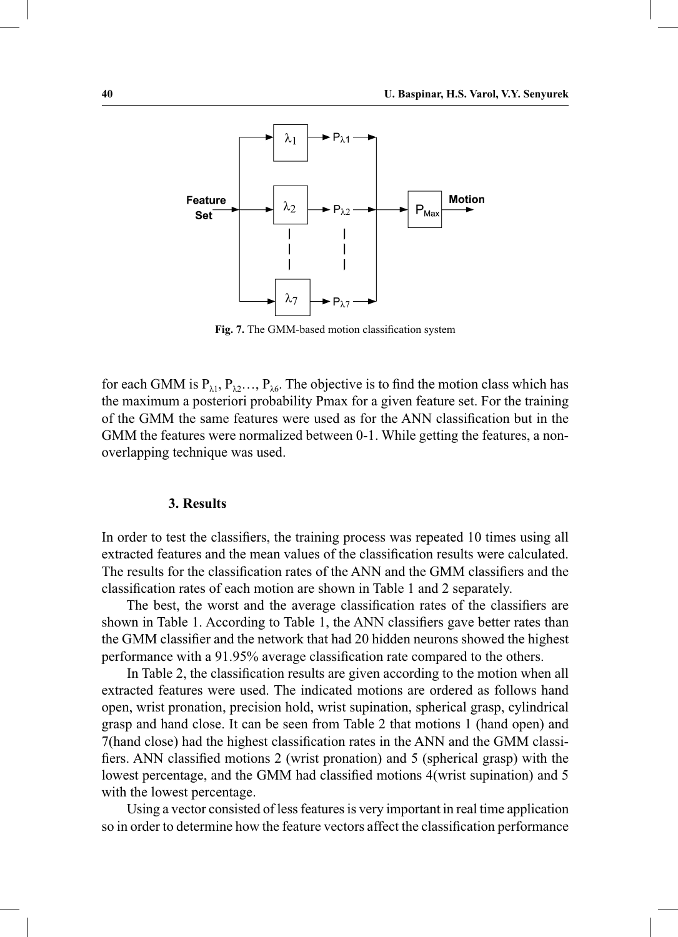

**Fig. 7.** The GMM-based motion classification system

for each GMM is  $P_{\lambda_1}, P_{\lambda_2}, \ldots, P_{\lambda_6}$ . The objective is to find the motion class which has the maximum a posteriori probability Pmax for a given feature set. For the training of the GMM the same features were used as for the ANN classification but in the GMM the features were normalized between 0-1. While getting the features, a nonoverlapping technique was used.

## **3. Results**

In order to test the classifiers, the training process was repeated 10 times using all extracted features and the mean values of the classification results were calculated. The results for the classification rates of the ANN and the GMM classifiers and the classification rates of each motion are shown in Table 1 and 2 separately.

 The best, the worst and the average classification rates of the classifiers are shown in Table 1. According to Table 1, the ANN classifiers gave better rates than the GMM classifier and the network that had 20 hidden neurons showed the highest performance with a 91.95% average classification rate compared to the others.

 In Table 2, the classification results are given according to the motion when all extracted features were used. The indicated motions are ordered as follows hand open, wrist pronation, precision hold, wrist supination, spherical grasp, cylindrical grasp and hand close. It can be seen from Table 2 that motions 1 (hand open) and 7(hand close) had the highest classification rates in the ANN and the GMM classifiers. ANN classified motions 2 (wrist pronation) and 5 (spherical grasp) with the lowest percentage, and the GMM had classified motions 4(wrist supination) and 5 with the lowest percentage.

 Using a vector consisted of less features is very important in real time application so in order to determine how the feature vectors affect the classification performance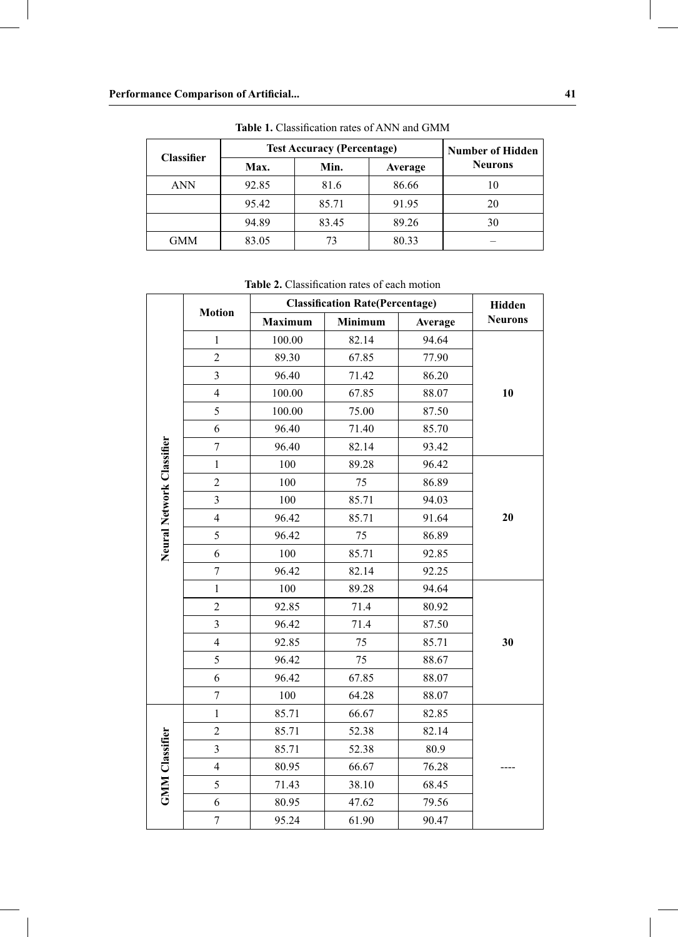| <b>Classifier</b> | <b>Test Accuracy (Percentage)</b> | <b>Number of Hidden</b> |         |                |
|-------------------|-----------------------------------|-------------------------|---------|----------------|
|                   | Max.                              | Min.                    | Average | <b>Neurons</b> |
| <b>ANN</b>        | 92.85                             | 81.6                    | 86.66   | 10             |
|                   | 95.42                             | 85.71                   | 91.95   | 20             |
|                   | 94.89                             | 83.45                   | 89.26   | 30             |
| <b>GMM</b>        | 83.05                             | 73                      | 80.33   |                |

**Table 1.** Classification rates of ANN and GMM

**Table 2.** Classification rates of each motion

|                           |                         | <b>Classification Rate(Percentage)</b> | Hidden  |         |                |  |
|---------------------------|-------------------------|----------------------------------------|---------|---------|----------------|--|
|                           | <b>Motion</b>           | Maximum                                | Minimum | Average | <b>Neurons</b> |  |
|                           | $\mathbf{1}$            | 100.00                                 | 82.14   | 94.64   |                |  |
|                           | $\overline{2}$          | 89.30                                  | 67.85   | 77.90   |                |  |
|                           | 3                       | 96.40                                  | 71.42   | 86.20   |                |  |
|                           | $\overline{\mathbf{4}}$ | 100.00                                 | 67.85   | 88.07   | 10             |  |
|                           | 5                       | 100.00                                 | 75.00   | 87.50   |                |  |
|                           | 6                       | 96.40                                  | 71.40   | 85.70   |                |  |
| Neural Network Classifier | $\overline{7}$          | 96.40                                  | 82.14   | 93.42   |                |  |
|                           | $\,1$                   | 100                                    | 89.28   | 96.42   |                |  |
|                           | $\overline{c}$          | 100                                    | 75      | 86.89   |                |  |
|                           | 3                       | 100                                    | 85.71   | 94.03   |                |  |
|                           | $\overline{\mathbf{4}}$ | 96.42                                  | 85.71   | 91.64   | 20             |  |
|                           | 5                       | 96.42                                  | 75      | 86.89   |                |  |
|                           | 6                       | 100                                    | 85.71   | 92.85   |                |  |
|                           | $\boldsymbol{7}$        | 96.42                                  | 82.14   | 92.25   |                |  |
|                           | $\mathbf{1}$            | 100                                    | 89.28   | 94.64   |                |  |
|                           | $\overline{c}$          | 92.85                                  | 71.4    | 80.92   |                |  |
|                           | $\mathfrak{Z}$          | 96.42                                  | 71.4    | 87.50   |                |  |
|                           | $\overline{4}$          | 92.85                                  | 75      | 85.71   | 30             |  |
|                           | 5                       | 96.42                                  | 75      | 88.67   |                |  |
|                           | 6                       | 96.42                                  | 67.85   | 88.07   |                |  |
|                           | $\overline{7}$          | 100                                    | 64.28   | 88.07   |                |  |
|                           | $\mathbf{1}$            | 85.71                                  | 66.67   | 82.85   |                |  |
|                           | $\overline{2}$          | 85.71                                  | 52.38   | 82.14   |                |  |
|                           | $\mathfrak{Z}$          | 85.71                                  | 52.38   | 80.9    |                |  |
| <b>GMM</b> Classifier     | $\overline{\mathbf{4}}$ | 80.95                                  | 66.67   | 76.28   |                |  |
|                           | 5                       | 71.43                                  | 38.10   | 68.45   |                |  |
|                           | 6                       | 80.95                                  | 47.62   | 79.56   |                |  |
|                           | $\tau$                  | 95.24                                  | 61.90   | 90.47   |                |  |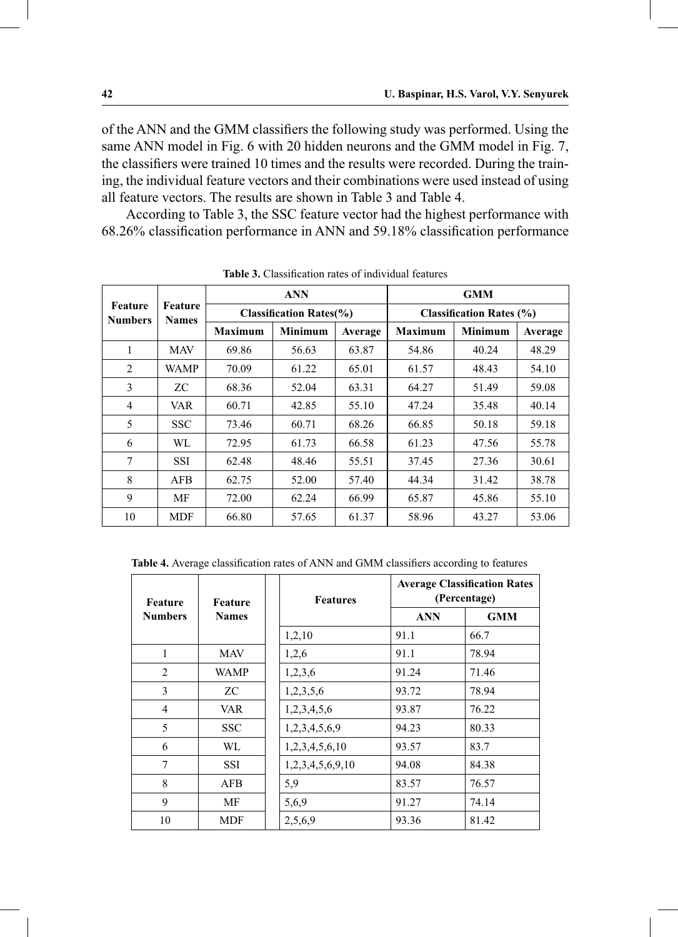of the ANN and the GMM classifiers the following study was performed. Using the same ANN model in Fig. 6 with 20 hidden neurons and the GMM model in Fig. 7, the classifiers were trained 10 times and the results were recorded. During the training, the individual feature vectors and their combinations were used instead of using all feature vectors. The results are shown in Table 3 and Table 4.

 According to Table 3, the SSC feature vector had the highest performance with 68.26% classification performance in ANN and 59.18% classification performance

| Feature<br><b>Numbers</b> | <b>Feature</b><br><b>Names</b> | <b>ANN</b><br><b>Classification Rates(%)</b> |                |         | <b>GMM</b>                      |                |         |  |
|---------------------------|--------------------------------|----------------------------------------------|----------------|---------|---------------------------------|----------------|---------|--|
|                           |                                |                                              |                |         | <b>Classification Rates (%)</b> |                |         |  |
|                           |                                | <b>Maximum</b>                               | <b>Minimum</b> | Average | <b>Maximum</b>                  | <b>Minimum</b> | Average |  |
| 1                         | <b>MAV</b>                     | 69.86                                        | 56.63          | 63.87   | 54.86                           | 40.24          | 48.29   |  |
| 2                         | <b>WAMP</b>                    | 70.09                                        | 61.22          | 65.01   | 61.57                           | 48.43          | 54.10   |  |
| 3                         | ZС                             | 68.36                                        | 52.04          | 63.31   | 64.27                           | 51.49          | 59.08   |  |
| 4                         | VAR                            | 60.71                                        | 42.85          | 55.10   | 47.24                           | 35.48          | 40.14   |  |
| 5                         | <b>SSC</b>                     | 73.46                                        | 60.71          | 68.26   | 66.85                           | 50.18          | 59.18   |  |
| 6                         | WL                             | 72.95                                        | 61.73          | 66.58   | 61.23                           | 47.56          | 55.78   |  |
| 7                         | SSI                            | 62.48                                        | 48.46          | 55.51   | 37.45                           | 27.36          | 30.61   |  |
| 8                         | <b>AFB</b>                     | 62.75                                        | 52.00          | 57.40   | 44.34                           | 31.42          | 38.78   |  |
| 9                         | MF                             | 72.00                                        | 62.24          | 66.99   | 65.87                           | 45.86          | 55.10   |  |
| 10                        | MDF                            | 66.80                                        | 57.65          | 61.37   | 58.96                           | 43.27          | 53.06   |  |

**Table 3.** Classification rates of individual features

**Table 4.** Average classification rates of ANN and GMM classifiers according to features

| Feature        | <b>Feature</b><br><b>Names</b> | <b>Features</b>  |            | <b>Average Classification Rates</b><br>(Percentage) |  |  |
|----------------|--------------------------------|------------------|------------|-----------------------------------------------------|--|--|
| <b>Numbers</b> |                                |                  | <b>ANN</b> | <b>GMM</b>                                          |  |  |
|                |                                | 1,2,10           | 91.1       | 66.7                                                |  |  |
| 1              | MAV                            | 1,2,6            | 91.1       | 78.94                                               |  |  |
| $\overline{c}$ | <b>WAMP</b>                    | 1,2,3,6          | 91.24      | 71.46                                               |  |  |
| 3              | ZC                             | 1,2,3,5,6        | 93.72      | 78.94                                               |  |  |
| 4              | VAR                            | 1,2,3,4,5,6      | 93.87      | 76.22                                               |  |  |
| 5              | <b>SSC</b>                     | 1,2,3,4,5,6,9    | 94.23      | 80.33                                               |  |  |
| 6              | WL                             | 1,2,3,4,5,6,10   | 93.57      | 83.7                                                |  |  |
| 7              | SSI                            | 1,2,3,4,5,6,9,10 | 94.08      | 84.38                                               |  |  |
| 8              | AFB                            | 5,9              | 83.57      | 76.57                                               |  |  |
| 9              | МF                             | 5,6,9            | 91.27      | 74.14                                               |  |  |
| 10             | <b>MDF</b>                     | 2,5,6,9          | 93.36      | 81.42                                               |  |  |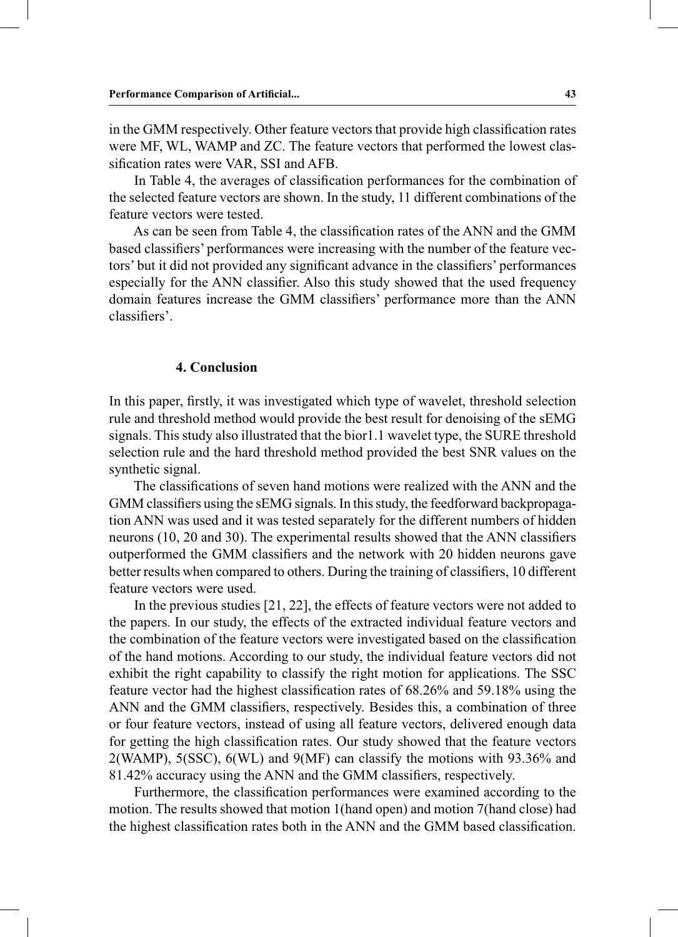in the GMM respectively. Other feature vectors that provide high classification rates were MF, WL, WAMP and ZC. The feature vectors that performed the lowest classification rates were VAR, SSI and AFB.

 In Table 4, the averages of classification performances for the combination of the selected feature vectors are shown. In the study, 11 different combinations of the feature vectors were tested.

 As can be seen from Table 4, the classification rates of the ANN and the GMM based classifiers' performances were increasing with the number of the feature vectors' but it did not provided any significant advance in the classifiers' performances especially for the ANN classifier. Also this study showed that the used frequency domain features increase the GMM classifiers' performance more than the ANN classifiers'.

## **4. Conclusion**

In this paper, firstly, it was investigated which type of wavelet, threshold selection rule and threshold method would provide the best result for denoising of the sEMG signals. This study also illustrated that the bior1.1 wavelet type, the SURE threshold selection rule and the hard threshold method provided the best SNR values on the synthetic signal.

 The classifications of seven hand motions were realized with the ANN and the GMM classifiers using the sEMG signals. In this study, the feedforward backpropagation ANN was used and it was tested separately for the different numbers of hidden neurons (10, 20 and 30). The experimental results showed that the ANN classifiers outperformed the GMM classifiers and the network with 20 hidden neurons gave better results when compared to others. During the training of classifiers, 10 different feature vectors were used.

 In the previous studies [21, 22], the effects of feature vectors were not added to the papers. In our study, the effects of the extracted individual feature vectors and the combination of the feature vectors were investigated based on the classification of the hand motions. According to our study, the individual feature vectors did not exhibit the right capability to classify the right motion for applications. The SSC feature vector had the highest classification rates of 68.26% and 59.18% using the ANN and the GMM classifiers, respectively. Besides this, a combination of three or four feature vectors, instead of using all feature vectors, delivered enough data for getting the high classification rates. Our study showed that the feature vectors 2(WAMP), 5(SSC), 6(WL) and 9(MF) can classify the motions with 93.36% and 81.42% accuracy using the ANN and the GMM classifiers, respectively.

 Furthermore, the classification performances were examined according to the motion. The results showed that motion 1(hand open) and motion 7(hand close) had the highest classification rates both in the ANN and the GMM based classification.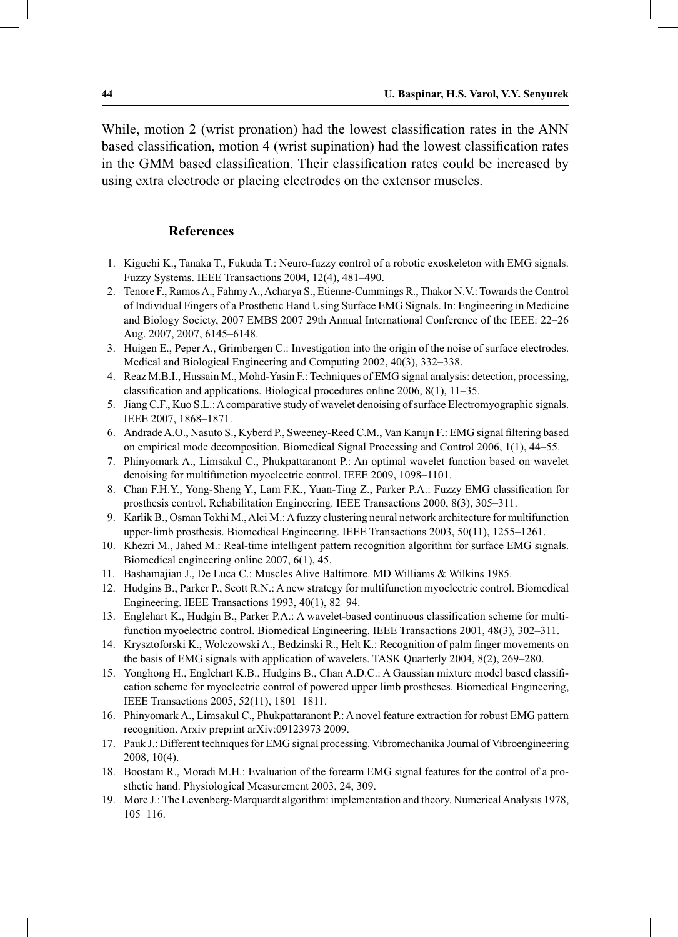While, motion 2 (wrist pronation) had the lowest classification rates in the ANN based classification, motion 4 (wrist supination) had the lowest classification rates in the GMM based classification. Their classification rates could be increased by using extra electrode or placing electrodes on the extensor muscles.

## **References**

- 1. Kiguchi K., Tanaka T., Fukuda T.: Neuro-fuzzy control of a robotic exoskeleton with EMG signals. Fuzzy Systems. IEEE Transactions 2004, 12(4), 481–490.
- 2. Tenore F., Ramos A., Fahmy A., Acharya S., Etienne-Cummings R., Thakor N.V.: Towards the Control of Individual Fingers of a Prosthetic Hand Using Surface EMG Signals. In: Engineering in Medicine and Biology Society, 2007 EMBS 2007 29th Annual International Conference of the IEEE: 22–26 Aug. 2007, 2007, 6145–6148.
- 3. Huigen E., Peper A., Grimbergen C.: Investigation into the origin of the noise of surface electrodes. Medical and Biological Engineering and Computing 2002, 40(3), 332–338.
- 4. Reaz M.B.I., Hussain M., Mohd-Yasin F.: Techniques of EMG signal analysis: detection, processing, classification and applications. Biological procedures online 2006, 8(1), 11–35.
- 5. Jiang C.F., Kuo S.L.: A comparative study of wavelet denoising of surface Electromyographic signals. IEEE 2007, 1868–1871.
- 6. Andrade A.O., Nasuto S., Kyberd P., Sweeney-Reed C.M., Van Kanijn F.: EMG signal filtering based on empirical mode decomposition. Biomedical Signal Processing and Control 2006, 1(1), 44–55.
- 7. Phinyomark A., Limsakul C., Phukpattaranont P.: An optimal wavelet function based on wavelet denoising for multifunction myoelectric control. IEEE 2009, 1098–1101.
- 8. Chan F.H.Y., Yong-Sheng Y., Lam F.K., Yuan-Ting Z., Parker P.A.: Fuzzy EMG classification for prosthesis control. Rehabilitation Engineering. IEEE Transactions 2000, 8(3), 305–311.
- 9. Karlik B., Osman Tokhi M., Alci M.: A fuzzy clustering neural network architecture for multifunction upper-limb prosthesis. Biomedical Engineering. IEEE Transactions 2003, 50(11), 1255–1261.
- 10. Khezri M., Jahed M.: Real-time intelligent pattern recognition algorithm for surface EMG signals. Biomedical engineering online 2007, 6(1), 45.
- 11. Bashamajian J., De Luca C.: Muscles Alive Baltimore. MD Williams & Wilkins 1985.
- 12. Hudgins B., Parker P., Scott R.N.: A new strategy for multifunction myoelectric control. Biomedical Engineering. IEEE Transactions 1993, 40(1), 82–94.
- 13. Englehart K., Hudgin B., Parker P.A.: A wavelet-based continuous classification scheme for multifunction myoelectric control. Biomedical Engineering. IEEE Transactions 2001, 48(3), 302–311.
- 14. Krysztoforski K., Wolczowski A., Bedzinski R., Helt K.: Recognition of palm finger movements on the basis of EMG signals with application of wavelets. TASK Quarterly 2004, 8(2), 269–280.
- 15. Yonghong H., Englehart K.B., Hudgins B., Chan A.D.C.: A Gaussian mixture model based classification scheme for myoelectric control of powered upper limb prostheses. Biomedical Engineering, IEEE Transactions 2005, 52(11), 1801–1811.
- 16. Phinyomark A., Limsakul C., Phukpattaranont P.: A novel feature extraction for robust EMG pattern recognition. Arxiv preprint arXiv:09123973 2009.
- 17. Pauk J.: Different techniques for EMG signal processing. Vibromechanika Journal of Vibroengineering 2008, 10(4).
- 18. Boostani R., Moradi M.H.: Evaluation of the forearm EMG signal features for the control of a prosthetic hand. Physiological Measurement 2003, 24, 309.
- 19. More J.: The Levenberg-Marquardt algorithm: implementation and theory. Numerical Analysis 1978, 105–116.